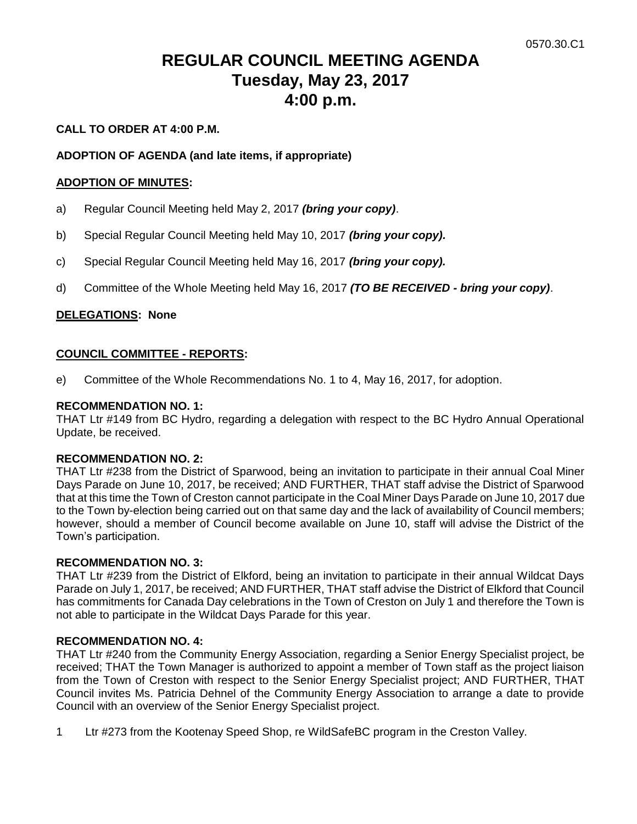# **REGULAR COUNCIL MEETING AGENDA Tuesday, May 23, 2017 4:00 p.m.**

#### **CALL TO ORDER AT 4:00 P.M.**

#### **ADOPTION OF AGENDA (and late items, if appropriate)**

#### **ADOPTION OF MINUTES:**

- a) Regular Council Meeting held May 2, 2017 *(bring your copy)*.
- b) Special Regular Council Meeting held May 10, 2017 *(bring your copy).*
- c) Special Regular Council Meeting held May 16, 2017 *(bring your copy).*
- d) Committee of the Whole Meeting held May 16, 2017 *(TO BE RECEIVED - bring your copy)*.

#### **DELEGATIONS: None**

#### **COUNCIL COMMITTEE - REPORTS:**

e) Committee of the Whole Recommendations No. 1 to 4, May 16, 2017, for adoption.

#### **RECOMMENDATION NO. 1:**

THAT Ltr #149 from BC Hydro, regarding a delegation with respect to the BC Hydro Annual Operational Update, be received.

#### **RECOMMENDATION NO. 2:**

THAT Ltr #238 from the District of Sparwood, being an invitation to participate in their annual Coal Miner Days Parade on June 10, 2017, be received; AND FURTHER, THAT staff advise the District of Sparwood that at this time the Town of Creston cannot participate in the Coal Miner Days Parade on June 10, 2017 due to the Town by-election being carried out on that same day and the lack of availability of Council members; however, should a member of Council become available on June 10, staff will advise the District of the Town's participation.

#### **RECOMMENDATION NO. 3:**

THAT Ltr #239 from the District of Elkford, being an invitation to participate in their annual Wildcat Days Parade on July 1, 2017, be received; AND FURTHER, THAT staff advise the District of Elkford that Council has commitments for Canada Day celebrations in the Town of Creston on July 1 and therefore the Town is not able to participate in the Wildcat Days Parade for this year.

#### **RECOMMENDATION NO. 4:**

THAT Ltr #240 from the Community Energy Association, regarding a Senior Energy Specialist project, be received; THAT the Town Manager is authorized to appoint a member of Town staff as the project liaison from the Town of Creston with respect to the Senior Energy Specialist project; AND FURTHER, THAT Council invites Ms. Patricia Dehnel of the Community Energy Association to arrange a date to provide Council with an overview of the Senior Energy Specialist project.

1 Ltr #273 from the Kootenay Speed Shop, re WildSafeBC program in the Creston Valley.